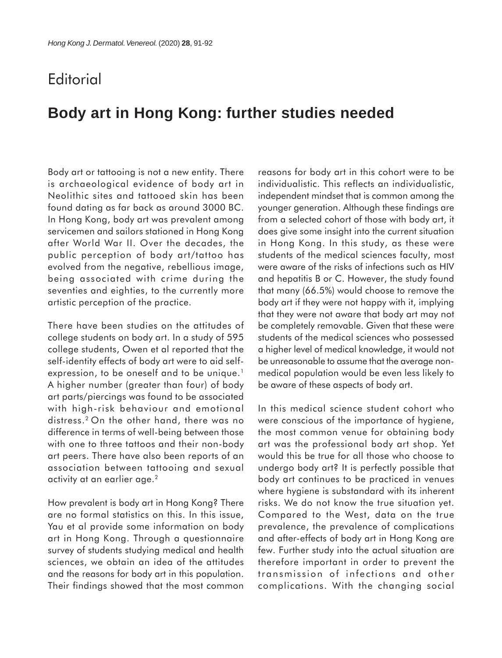## **Editorial**

## **Body art in Hong Kong: further studies needed**

Body art or tattooing is not a new entity. There is archaeological evidence of body art in Neolithic sites and tattooed skin has been found dating as far back as around 3000 BC. In Hong Kong, body art was prevalent among servicemen and sailors stationed in Hong Kong after World War II. Over the decades, the public perception of body art/tattoo has evolved from the negative, rebellious image, being associated with crime during the seventies and eighties, to the currently more artistic perception of the practice.

There have been studies on the attitudes of college students on body art. In a study of 595 college students, Owen et al reported that the self-identity effects of body art were to aid selfexpression, to be oneself and to be unique.<sup>1</sup> A higher number (greater than four) of body art parts/piercings was found to be associated with high-risk behaviour and emotional distress.2 On the other hand, there was no difference in terms of well-being between those with one to three tattoos and their non-body art peers. There have also been reports of an association between tattooing and sexual activity at an earlier age.2

How prevalent is body art in Hong Kong? There are no formal statistics on this. In this issue, Yau et al provide some information on body art in Hong Kong. Through a questionnaire survey of students studying medical and health sciences, we obtain an idea of the attitudes and the reasons for body art in this population. Their findings showed that the most common reasons for body art in this cohort were to be individualistic. This reflects an individualistic, independent mindset that is common among the younger generation. Although these findings are from a selected cohort of those with body art, it does give some insight into the current situation in Hong Kong. In this study, as these were students of the medical sciences faculty, most were aware of the risks of infections such as HIV and hepatitis B or C. However, the study found that many (66.5%) would choose to remove the body art if they were not happy with it, implying that they were not aware that body art may not be completely removable. Given that these were students of the medical sciences who possessed a higher level of medical knowledge, it would not be unreasonable to assume that the average nonmedical population would be even less likely to be aware of these aspects of body art.

In this medical science student cohort who were conscious of the importance of hygiene, the most common venue for obtaining body art was the professional body art shop. Yet would this be true for all those who choose to undergo body art? It is perfectly possible that body art continues to be practiced in venues where hygiene is substandard with its inherent risks. We do not know the true situation yet. Compared to the West, data on the true prevalence, the prevalence of complications and after-effects of body art in Hong Kong are few. Further study into the actual situation are therefore important in order to prevent the transmission of infections and other complications. With the changing social